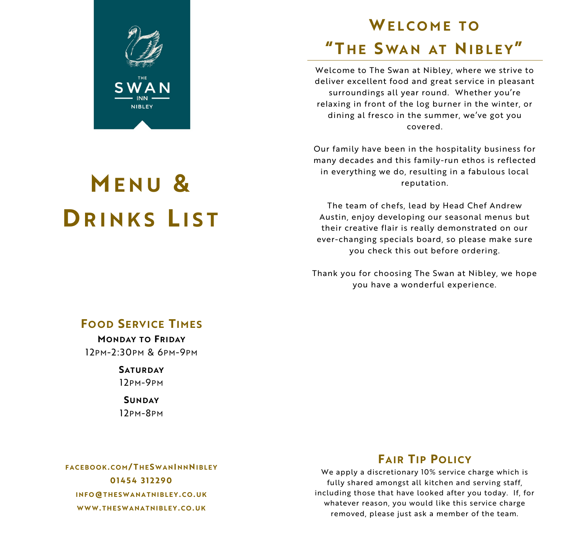

# **M E N U & DRINKS LIST**

## **WELCOME TO "T H E S WA N A T NI B L E Y"**

Welcome to The Swan at Nibley, where we strive to deliver excellent food and great service in pleasant surroundings all year round. Whether you're relaxing in front of the log burner in the winter, or dining al fresco in the summer, we've got you covered.

Our family have been in the hospitality business for many decades and this family-run ethos is reflected in everything we do, resulting in a fabulous local reputation.

The team of chefs, lead by Head Chef Andrew Austin, enjoy developing our seasonal menus but their creative flair is really demonstrated on our ever-changing specials board, so please make sure you check this out before ordering.

Thank you for choosing The Swan at Nibley, we hope you have a wonderful experience.

## **FO OD SERVICE TIMES**

**MONDAY TO FRIDAY** 12PM-2:30PM & 6PM-9PM

> **SATURDAY** 12PM-9PM

**SUNDAY** 12PM-8PM

## **FAIR TIP POLICY**

**F A C E B O O K. C O M / T H E S W A NI N NNI B L E Y 0 1 4 5 4 3 1 2 2 9 0 I N F O@T H E S W A N A T N I B L E Y . C O . U K WWW. T H E S W A N A T N I B L E Y . C O . U K**

We apply a discretionary 10% service charge which is fully shared amongst all kitchen and serving staff, including those that have looked after you today. If, for whatever reason, you would like this service charge removed, please just ask a member of the team.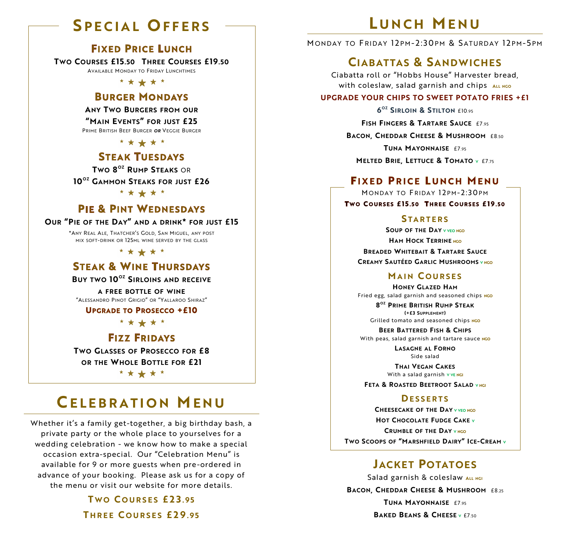## **S P E C I A L O F F E R S**

### **FIXED PRICE LUNCH**

**TWO COURSES £15.50 THREE COURSES £19.50** AVAILABLE MONDAY TO FRIDAY LUNCHTIMES

\* \* \* \* \*

#### **BURGER MONDAYS**

**ANY TWO BURGERS FROM OUR**

**"MAIN EVENTS" FOR JUST £25** PRIME BRITISH BEEF BURGER *OR* VEGGIE BURGER

\* \* \* \* \*

#### **STEAK TUESDAYS**

**TWO 8 OZ RUMP STEAKS** OR

**10 OZ GAMMON STEAKS FOR JUST £26**

\* \* \* \* \*

### **PIE & PINT WEDNESDAYS**

#### **OUR "PIE OF THE DAY" AND A DRINK\* FOR JUST £15**

\*ANY REAL ALE, THATCHER'S GOLD, SAN MIGUEL, ANY POST MIX SOFT-DRINK OR 125ML WINE SERVED BY THE GLASS

\* \* \* \* \* \*

### **STEAK & WINE THURSDAYS**

**BUY TWO 10OZ SIRLOINS AND RECEIVE**

**A FREE BOTTLE OF WINE** "ALESSANDRO PINOT GRIGIO" OR "YALLAROO SHIRAZ"

#### **UPGRADE TO PROSECCO +£10**

\* \* \* \* \*

#### **FIZZ FRIDAYS**

**TWO GLASSES OF PROSECCO FOR £8 OR THE WHOLE BOTTLE FOR £21**

\* \* \* \* \*

## **CE L E B R A T I O N M E N U**

Whether it's a family get-together, a big birthday bash, a private party or the whole place to yourselves for a wedding celebration - we know how to make a special occasion extra-special. Our "Celebration Menu" is available for 9 or more guests when pre-ordered in advance of your booking. Please ask us for a copy of the menu or visit our website for more details.

> **T W O C O U R S E S £ 2 3 . 9 5 T H R E E C O U R S E S £ 2 9 . 9 5**

## **L U N C H M E N U**

MONDAY TO FRIDAY 12PM-2:30PM & SATURDAY 12PM-5PM

### **CIABATTAS & SANDWICHES**

Ciabatta roll or "Hobbs House" Harvester bread, **With coleslaw, salad garnish and chips ALL NGO** 

#### **UPGRADE YOUR CHIPS TO SWEET POTATO FRIES +£1**

**6 OZ SIRLOIN & STILTON** £10.95

**FISH FINGERS & TARTARE SAUCE** £7.95

**BACON, CHEDDAR CHEESE & MUSHROOM** £8.50

**TUNA MAYONNAISE** £7.95

**MELTED BRIE, LETTUCE & TOMATO <sup>V</sup>** £7.75

#### **FIXED PRICE LUNCH MENU**

MONDAY TO FRIDAY 12PM-2:30PM TWO COURSES £15.50 THREE COURSES £19.50

#### **S T A R T E R S**

**SOUP OF THE DAY <sup>V</sup> VEO NGO HAM HOCK TERRINE NGO BREADED WHITEBAIT & TARTARE SAUCE CREAMY SAUTÉED GARLIC MUSHROOMS <sup>V</sup> NGO**

#### **M A I N C O U R S E S**

**HONEY GLAZED HAM** Fried egg, salad garnish and seasoned chips **NGO**

**8 OZ PRIME BRITISH RUMP STEAK (+£3 SUPPLEMENT)**  Grilled tomato and seasoned chips NGO

**BEER BATTERED FISH & CHIPS**

With peas, salad garnish and tartare sauce NGO **LASAGNE AL FORNO**

Side salad

**THAI VEGAN CAKES** With a salad garnish **V VE NGI**

**FETA & ROASTED BEETROOT SALAD <sup>V</sup> NGI**

#### **DE S S E R T S**

**CHEESECAKE OF THE DAY <sup>V</sup> VEO NGO HOT CHOCOLATE FUDGE CAKE <sup>V</sup> CRUMBLE OF THE DAY <sup>V</sup> NGO TWO SCOOPS OF "MARSHFIELD DAIRY" ICE-CREAM <sup>V</sup>**

### **JACKET POTATOES**

Salad garnish & coleslaw ALL NGI **BACON, CHEDDAR CHEESE & MUSHROOM** £8.25 **TUNA MAYONNAISE**  $f7.95$ **BAKED BEANS & CHEESE <sup>V</sup>** £7.50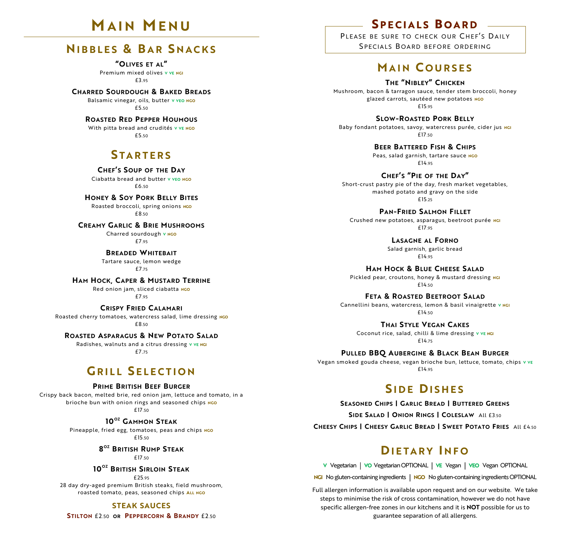## **M A I N M E N U**

### **NI B B L E S & B A R S N A C K S**

**"OLIVES ET AL"**  Premium mixed olives **V VE NGI** £3.95

**CHARRED SOURDOUGH & BAKED BREADS** Balsamic vinegar, oils, butter v vEO NGO

£5.50 **ROASTED RED PEPPER HOUMOUS** With pitta bread and crudités **V VE NGO** 

£5.50

### **S T A R T E R S**

**CHEF'S SOUP OF THE DAY** Ciabatta bread and butter **V VEO NGO**  £6.50

**HONEY & SOY PORK BELLY BITES** Roasted broccoli, spring onions **NGO**

£8.50

**CREAMY GARLIC & BRIE MUSHROOMS**

Charred sourdough **V NGO**  £7.95

**BREADED WHITEBAIT** Tartare sauce, lemon wedge £7.75

**HAM HOCK, CAPER & MUSTARD TERRINE** Red onion jam, sliced ciabatta NGO

£7.95

**CRISPY FRIED CALAMARI** Roasted cherry tomatoes, watercress salad, lime dressing **NGO** £8.50

**ROASTED ASPARAGUS & NEW POTATO SALAD**

Radishes, walnuts and a citrus dressing **V VE NGI**  £7.75

### **GRILL SELECTION**

#### **PRIME BRITISH BEEF BURGER**

Crispy back bacon, melted brie, red onion jam, lettuce and tomato, in a brioche bun with onion rings and seasoned chips NGO £17.50

> **10 OZ GAMMON STEAK** Pineapple, fried egg, tomatoes, peas and chips **NGO**

£15.50

**8 OZ BRITISH RUMP STEAK** £17.50

#### **10 OZ BRITISH SIRLOIN STEAK**

£25.95

28 day dry-aged premium British steaks, field mushroom, roasted tomato, peas, seasoned chips **ALL NGO**

**STEAK SAUCES**

**STILTON** £2.50 **OR PEPPERCORN & BRANDY** £2.50

### **SPECIALS BOARD -**

PLEASE BE SURE TO CHECK OUR CHEF'S DAILY SPECIALS BOARD BEFORE ORDERING

### **MA I N C O U R S E S**

**THE "NIBLEY" CHICKEN**

Mushroom, bacon & tarragon sauce, tender stem broccoli, honey glazed carrots, sautéed new potatoes **NGO** £15.95

**SLOW-ROASTED PORK BELLY** Baby fondant potatoes, savoy, watercress purée, cider jus **NGI** £17.50

> **BEER BATTERED FISH & CHIPS** Peas, salad garnish, tartare sauce **NGO** £14.95

**CHEF'S "PIE OF THE DAY"** Short-crust pastry pie of the day, fresh market vegetables, mashed potato and gravy on the side £15.25

**PAN-FRIED SALMON FILLET** Crushed new potatoes, asparagus, beetroot purée **NGI** £17.95

> **LASAGNE AL FORNO** Salad garnish, garlic bread £14.95

**HAM HOCK & BLUE CHEESE SALAD** Pickled pear, croutons, honey & mustard dressing **NGI** £14.50

**FETA & ROASTED BEETROOT SALAD** Cannellini beans, watercress, lemon & basil vinaigrette **V NGI** £14.50

**THAI STYLE VEGAN CAKES** Coconut rice, salad, chilli & lime dressing **V VE NGI** £14.75

**PULLED BBQ AUBERGINE & BLACK BEAN BURGER** Vegan smoked gouda cheese, vegan brioche bun, lettuce, tomato, chips **V VE** £14.95

## **SIDE DISHES**

**SEASONED CHIPS | GARLIC BREAD | BUTTERED GREENS SIDE SALAD | ONION RINGS | COLESLAW** All £3.50 **CHEESY CHIPS | CHEESY GARLIC BREAD | SWEET POTATO FRIES** All £4.50

## **DI E T A R Y I N F O**

**V** Vegetarian **| VO** Vegetarian OPTIONAL **| VE** Vegan **| VEO** Vegan OPTIONAL

**NGI** No gluten-containing ingredients **| NGO** No gluten-containing ingredients OPTIONAL

Full allergen information is available upon request and on our website. We take steps to minimise the risk of cross contamination, however we do not have specific allergen-free zones in our kitchens and it is **NOT** possible for us to guarantee separation of all allergens.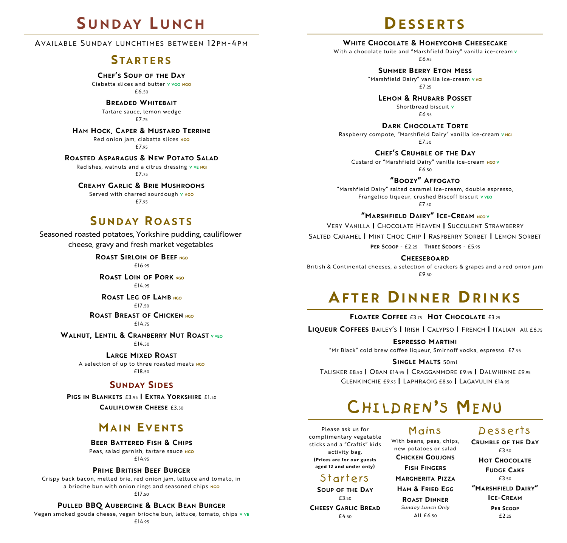## **S U N D AY L U N C H**

AVAILABLE SUNDAY LUNCHTIMES BETWEEN 12PM-4PM

#### **S T A R T E R S**

**CHEF'S SOUP OF THE DAY**

Ciabatta slices and butter **V VGO NGO**  £6.50

**BREADED WHITEBAIT**

Tartare sauce, lemon wedge £7.75

**HAM HOCK, CAPER & MUSTARD TERRINE**

Red onion jam, ciabatta slices **NGO** £7.95

**ROASTED ASPARAGUS & NEW POTATO SALAD**

Radishes, walnuts and a citrus dressing **V VE NGI**  $£7.75$ 

**CREAMY GARLIC & BRIE MUSHROOMS** Served with charred sourdough **V NGO** 

£7.95

### **S U N D AY R O A S T S**

Seasoned roasted potatoes, Yorkshire pudding, cauliflower cheese, gravy and fresh market vegetables

> **ROAST SIRLOIN OF BEEF NGO** £16.95

**ROAST LOIN OF PORK NGO** £14.95

**ROAST LEG OF LAMB NGO**  $£17.50$ 

#### **ROAST BREAST OF CHICKEN NGO**

£14.75

**WALNUT, LENTIL & CRANBERRY NUT ROAST <sup>V</sup> VEO**

£14.50

**LARGE MIXED ROAST** A selection of up to three roasted meats **NGO** £18.50

#### **SUNDAY SIDES**

**PIGS IN BLANKETS** £3.<sup>95</sup> **| EXTRA YORKSHIRE** £1.<sup>50</sup> **CAULIFLOWER CHEESE** £3.<sup>50</sup>

### **MA I N E V E N T S**

**BEER BATTERED FISH & CHIPS**

Peas, salad garnish, tartare sauce **NGO** £14.95

#### **PRIME BRITISH BEEF BURGER**

Crispy back bacon, melted brie, red onion jam, lettuce and tomato, in a brioche bun with onion rings and seasoned chips NGO

£17.50

#### **PULLED BBQ AUBERGINE & BLACK BEAN BURGER**

Vegan smoked gouda cheese, vegan brioche bun, lettuce, tomato, chips **V VE** £14.95

## **DE S S E R T S**

**WHITE CHOCOLATE & HONEYCOMB CHEESECAKE**

With a chocolate tuile and "Marshfield Dairy" vanilla ice-cream **V** £6.95

> **SUMMER BERRY ETON MESS** "Marshfield Dairy" vanilla ice-cream **V NGI**  $f725$

**LEMON & RHUBARB POSSET** Shortbread biscuit **V** £6.95

**DARK CHOCOLATE TORTE** Raspberry compote, "Marshfield Dairy" vanilla ice-cream **V NGI**  $£7.50$ 

**CHEF'S CRUMBLE OF THE DAY** Custard or "Marshfield Dairy" vanilla ice-cream **NGO V** £6.50

**"BOOZY" AFFOGATO** "Marshfield Dairy" salted caramel ice-cream, double espresso, Frangelico liqueur, crushed Biscoff biscuit **V VEO** £7.50

**"MARSHFIELD DAIRY" ICE-CREAM NGO <sup>V</sup>**

VERY VANILLA **|** CHOCOLATE HEAVEN **|** SUCCULENT STRAWBERRY

SALTED CARAMEL **|** MINT CHOC CHIP **|** RASPBERRY SORBET **|** LEMON SORBET

**PER SCOOP** - £2.25 **THREE SCOOPS** - £5.95

**CHEESEBOARD**

British & Continental cheeses, a selection of crackers & grapes and a red onion jam £9.50

## **AF T E R DI N N E R DR I N K S**

**FLOATER COFFEE** £3.75 **HOT CHOCOLATE** £3.25

**LIQUEUR COFFEES** BAILEY'S **|** IRISH **|** CALYPSO **|** FRENCH **|** ITALIANAll £6.75

**ESPRESSO MARTINI** "Mr Black" cold brew coffee liqueur, Smirnoff vodka, espresso £7 .95

#### **SINGLE MALTS** 50ml

TALISKER £8.50 **|** OBAN £14.95 **|** CRAGGANMORE £9.95 **|** DALWHINNE £9.95 GLENKINCHIE £9.95 **|** LAPHRAOIG £8.50 **|** LAGAVULIN £14.95

## CHILDREN'S MENU

Please ask us for complimentary vegetable sticks and a "Craftis" kids activity bag. **(Prices are for our guests aged 12 and under only)**

#### Starters

**SOUP OF THE DAY** £3.50 **CHEESY GARLIC BREAD** £4.50

Mains With beans, peas, chips, new potatoes or salad **CHICKEN GOUJONS FISH FINGERS MARGHERITA PIZZA HAM & FRIED EGG**

> **ROAST DINNER** *Sunday Lunch Only* All £6.50

Desserts

**CRUMBLE OF THE DAY** £3.50 **HOT CHOCOLATE FUDGE CAKE** £3.50 **"MARSHFIELD DAIRY" ICE-CREAM PER SCOOP** £2.25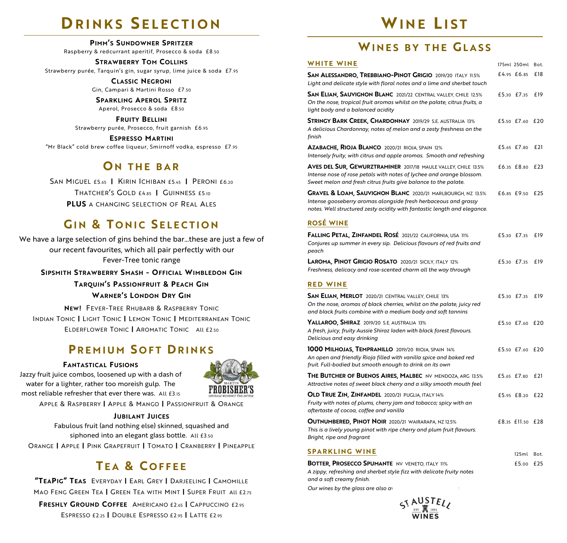## **DRINKS SELECTION**

**PIMM'S SUNDOWNER SPRITZER**

Raspberry & redcurrant aperitif, Prosecco & soda £8.50

**STRAWBERRY TOM COLLINS** Strawberry purée, Tarquin's gin, sugar syrup, lime juice & soda £7 .95

> **CLASSIC NEGRONI** Gin, Campari & Martini Rosso £7.50

#### **SPARKLING APEROL SPRITZ**

Aperol, Prosecco & soda £8.50

**FRUITY BELLINI** Strawberry purée, Prosecco, fruit garnish £6.95

**ESPRESSO MARTINI** "Mr Black" cold brew coffee liqueur, Smirnoff vodka, espresso £7 .95

## **O N THE B A R**

SAN MIGUEL £5.65 **|** KIRIN ICHIBAN £5.45 **|** PERONI £6.20 THATCHER'S GOLD £4.85 **|** GUINNESS £5.10 **PLUS** A CHANGING SELECTION OF REAL ALES

## **GIN & TONIC SELECTION**

We have a large selection of gins behind the bar...these are just a few of our recent favourites, which all pair perfectly with our Fever-Tree tonic range

**SIPSMITH STRAWBERRY SMASH - OFFICIAL WIMBLEDON GIN**

**TARQUIN'S PASSIONFRUIT & PEACH GIN**

#### **WARNER'S LONDON DRY GIN**

**NEW!** FEVER-TREE RHUBARB & RASPBERRY TONIC INDIAN TONIC **|** LIGHT TONIC **|** LEMON TONIC **|** MEDITERRANEAN TONIC ELDERFLOWER TONIC **|** AROMATIC TONIC All £2.50

## **PREMIUM SOFT DRINKS**

#### **FANTASTICAL FUSIONS**

Jazzy fruit juice combos, loosened up with a dash of water for a lighter, rather too moreish gulp. The most reliable refresher that ever there was. All £3.15



APPLE & RASPBERRY **|** APPLE & MANGO **|** PASSIONFRUIT & ORANGE

#### **JUBILANT JUICES**

Fabulous fruit (and nothing else) skinned, squashed and siphoned into an elegant glass bottle. All £3.50 ORANGE **|** APPLE **|** PINK GRAPEFRUIT **|** TOMATO **|** CRANBERRY **|** PINEAPPLE

## **T E A & C O F F E E**

**"TEAPIG" TEAS** EVERYDAY **|** EARL GREY **|** DARJEELING **|** CAMOMILLE MAO FENG GREEN TEA **|** GREEN TEA WITH MINT **|** SUPER FRUIT All £2.75 **FRESHLY GROUND COFFEE** AMERICANO £2.65 **|** CAPPUCCINO £2.95 ESPRESSO £2.25 **|** DOUBLE ESPRESSO £2.95 **|** LATTE £2.95

## **WINE L I S T**

## **WI N E S B Y T H E GL A S S**

| WHITE WINE                                                                                                                                                                                                            | 175ml 250ml Bot. |     |
|-----------------------------------------------------------------------------------------------------------------------------------------------------------------------------------------------------------------------|------------------|-----|
| SAN ALESSANDRO, TREBBIANO-PINOT GRIGIO 2019/20 ITALY 11.5%<br>Light and delicate style with floral notes and a lime and sherbet touch                                                                                 | £4.95 £6.85      | £18 |
| <b>SAN ELIAN, SAUVIGNON BLANC</b> 2021/22 CENTRAL VALLEY, CHILE 12.5%<br>On the nose, tropical fruit aromas whilst on the palate, citrus fruits, a<br>light body and a balanced acidity                               | £5.30 £7.35      | £19 |
| <b>STRINGY BARK CREEK, CHARDONNAY</b> 2019/29 S.E. AUSTRALIA 13%<br>A delicious Chardonnay, notes of melon and a zesty freshness on the<br>finish                                                                     | £5.50 £7.60      | £20 |
| <b>Azabache, Rioja Blanco</b> 2020/21 rioja, spain 12%<br>Intensely fruity, with citrus and apple aromas. Smooth and refreshing                                                                                       | £5.65 £7.80      | £21 |
| <b>AVES DEL SUR, GEWURZTRAMINER</b> 2017/18 MAULE VALLEY, CHILE 13.5%<br>Intense nose of rose petals with notes of lychee and orange blossom.<br>Sweet melon and fresh citrus fruits give balance to the palate.      | £6.35 £8.80      | £23 |
| <b>GRAVEL &amp; LOAM, SAUVIGNON BLANC</b> 2020/21 MARLBOURGH, NZ 13.5%<br>Intense gooseberry aromas alongside fresh herbaceous and grassy<br>notes. Well structured zesty acidity with fantastic length and elegance. | £6.85 £9.50      | £25 |
| <b>ROSÉ WINE</b>                                                                                                                                                                                                      |                  |     |
| <b>FALLING PETAL, ZINFANDEL ROSÉ 2021/22 CALIFORNIA, USA 11%</b><br>Conjures up summer in every sip. Delicious flavours of red fruits and<br>peach                                                                    | £5.30 £7.35      | £19 |
| LAROMA, PINOT GRIGIO ROSATO 2020/21 SICILY, ITALY 12%<br>Freshness, delicacy and rose-scented charm all the way through                                                                                               | £5.30 £7.35      | £19 |
| <b>RED WINE</b>                                                                                                                                                                                                       |                  |     |
| SAN ELIAN, MERLOT 2020/21 CENTRAL VALLEY, CHILE 13%<br>On the nose, aromas of black cherries, whilst on the palate, juicy red<br>and black fruits combine with a medium body and soft tannins                         | £5.30 £7.35      | £19 |

| and black frans combine with a medium body and soft turninis                                                                                                                          |                 |  |
|---------------------------------------------------------------------------------------------------------------------------------------------------------------------------------------|-----------------|--|
| <b>YALLAROO, SHIRAZ</b> 2019/20 S.E. AUSTRALIA 13%<br>A fresh, juicy, fruity Aussie Shiraz laden with black forest flavours.<br>Delicious and easy drinking                           | £5.50 £7.60 £20 |  |
| 1000 MILHOJAS, TEMPRANILLO 2019/20 RIOJA, SPAIN 14%<br>An open and friendly Rioja filled with vanilla spice and baked red<br>fruit. Full-bodied but smooth enough to drink on its own | £5.50 £7.60 £20 |  |
| THE BUTCHER OF BUENOS AIRES, MALBEC NV MENDOZA, ARG 13.5%<br>Attractive notes of sweet black cherry and a silky smooth mouth feel                                                     | £5.65 £7.80 £21 |  |
| <b>OLD TRUE ZIN, ZINFANDEL</b> 2020/21 PUGLIA, ITALY 14%                                                                                                                              | £5.95 £8.20 £22 |  |

*Fruity with notes of plums, cherry jam and tobacco; spicy with an aftertaste of cocoa, coffee and vanilla* 

**OUTNUMBERED, PINOT NOIR** 2020/21 WAIRARAPA, NZ 12.5% *This is a lively young pinot with ripe cherry and plum fruit flavours. Bright, ripe and fragrant* £8.35 £11.50 £28

#### **SPARKLING WINE**

| <b>BOTTER. PROSECCO SPUMANTE NV VENETO. ITALY 11%</b>                 | £5.00 £25 |  |
|-----------------------------------------------------------------------|-----------|--|
| A zippy, refreshing and sherbet style fizz with delicate fruity notes |           |  |
| and a soft creamy finish.                                             |           |  |

125ml Bot.

*Our wines by the glass are also available in 1250 m*